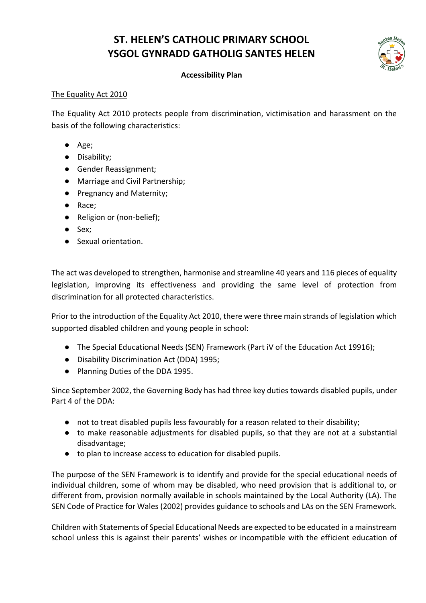# **ST. HELEN'S CATHOLIC PRIMARY SCHOOL YSGOL GYNRADD GATHOLIG SANTES HELEN**



# **Accessibility Plan**

## The Equality Act 2010

The Equality Act 2010 protects people from discrimination, victimisation and harassment on the basis of the following characteristics:

- Age;
- Disability;
- Gender Reassignment;
- Marriage and Civil Partnership;
- Pregnancy and Maternity;
- Race;
- Religion or (non-belief);
- Sex;
- Sexual orientation.

The act was developed to strengthen, harmonise and streamline 40 years and 116 pieces of equality legislation, improving its effectiveness and providing the same level of protection from discrimination for all protected characteristics.

Prior to the introduction of the Equality Act 2010, there were three main strands of legislation which supported disabled children and young people in school:

- The Special Educational Needs (SEN) Framework (Part iV of the Education Act 19916);
- Disability Discrimination Act (DDA) 1995;
- Planning Duties of the DDA 1995.

Since September 2002, the Governing Body has had three key duties towards disabled pupils, under Part 4 of the DDA:

- not to treat disabled pupils less favourably for a reason related to their disability;
- to make reasonable adjustments for disabled pupils, so that they are not at a substantial disadvantage;
- to plan to increase access to education for disabled pupils.

The purpose of the SEN Framework is to identify and provide for the special educational needs of individual children, some of whom may be disabled, who need provision that is additional to, or different from, provision normally available in schools maintained by the Local Authority (LA). The SEN Code of Practice for Wales (2002) provides guidance to schools and LAs on the SEN Framework.

Children with Statements of Special Educational Needs are expected to be educated in a mainstream school unless this is against their parents' wishes or incompatible with the efficient education of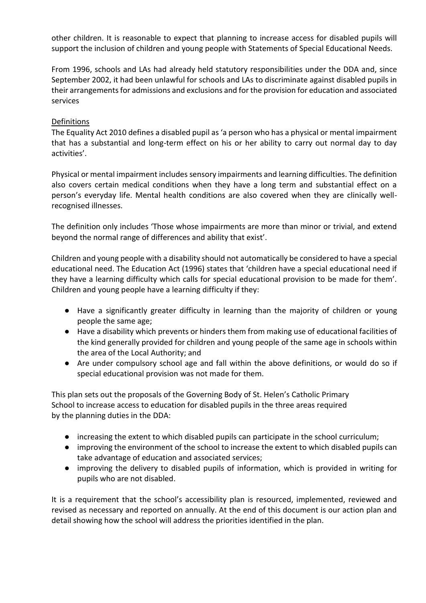other children. It is reasonable to expect that planning to increase access for disabled pupils will support the inclusion of children and young people with Statements of Special Educational Needs.

From 1996, schools and LAs had already held statutory responsibilities under the DDA and, since September 2002, it had been unlawful for schools and LAs to discriminate against disabled pupils in their arrangements for admissions and exclusions and for the provision for education and associated services

## Definitions

The Equality Act 2010 defines a disabled pupil as 'a person who has a physical or mental impairment that has a substantial and long-term effect on his or her ability to carry out normal day to day activities'.

Physical or mental impairment includes sensory impairments and learning difficulties. The definition also covers certain medical conditions when they have a long term and substantial effect on a person's everyday life. Mental health conditions are also covered when they are clinically wellrecognised illnesses.

The definition only includes 'Those whose impairments are more than minor or trivial, and extend beyond the normal range of differences and ability that exist'.

Children and young people with a disability should not automatically be considered to have a special educational need. The Education Act (1996) states that 'children have a special educational need if they have a learning difficulty which calls for special educational provision to be made for them'. Children and young people have a learning difficulty if they:

- Have a significantly greater difficulty in learning than the majority of children or young people the same age;
- Have a disability which prevents or hinders them from making use of educational facilities of the kind generally provided for children and young people of the same age in schools within the area of the Local Authority; and
- Are under compulsory school age and fall within the above definitions, or would do so if special educational provision was not made for them.

This plan sets out the proposals of the Governing Body of St. Helen's Catholic Primary School to increase access to education for disabled pupils in the three areas required by the planning duties in the DDA:

- increasing the extent to which disabled pupils can participate in the school curriculum;
- improving the environment of the school to increase the extent to which disabled pupils can take advantage of education and associated services;
- improving the delivery to disabled pupils of information, which is provided in writing for pupils who are not disabled.

It is a requirement that the school's accessibility plan is resourced, implemented, reviewed and revised as necessary and reported on annually. At the end of this document is our action plan and detail showing how the school will address the priorities identified in the plan.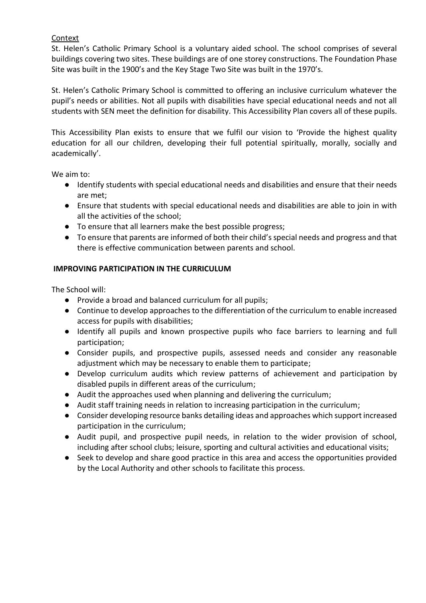## Context

St. Helen's Catholic Primary School is a voluntary aided school. The school comprises of several buildings covering two sites. These buildings are of one storey constructions. The Foundation Phase Site was built in the 1900's and the Key Stage Two Site was built in the 1970's.

St. Helen's Catholic Primary School is committed to offering an inclusive curriculum whatever the pupil's needs or abilities. Not all pupils with disabilities have special educational needs and not all students with SEN meet the definition for disability. This Accessibility Plan covers all of these pupils.

This Accessibility Plan exists to ensure that we fulfil our vision to 'Provide the highest quality education for all our children, developing their full potential spiritually, morally, socially and academically'.

We aim to:

- Identify students with special educational needs and disabilities and ensure that their needs are met;
- Ensure that students with special educational needs and disabilities are able to join in with all the activities of the school;
- To ensure that all learners make the best possible progress;
- To ensure that parents are informed of both their child's special needs and progress and that there is effective communication between parents and school.

## **IMPROVING PARTICIPATION IN THE CURRICULUM**

The School will:

- Provide a broad and balanced curriculum for all pupils;
- Continue to develop approaches to the differentiation of the curriculum to enable increased access for pupils with disabilities;
- Identify all pupils and known prospective pupils who face barriers to learning and full participation;
- Consider pupils, and prospective pupils, assessed needs and consider any reasonable adjustment which may be necessary to enable them to participate;
- Develop curriculum audits which review patterns of achievement and participation by disabled pupils in different areas of the curriculum;
- Audit the approaches used when planning and delivering the curriculum;
- Audit staff training needs in relation to increasing participation in the curriculum;
- Consider developing resource banks detailing ideas and approaches which support increased participation in the curriculum;
- Audit pupil, and prospective pupil needs, in relation to the wider provision of school, including after school clubs; leisure, sporting and cultural activities and educational visits;
- Seek to develop and share good practice in this area and access the opportunities provided by the Local Authority and other schools to facilitate this process.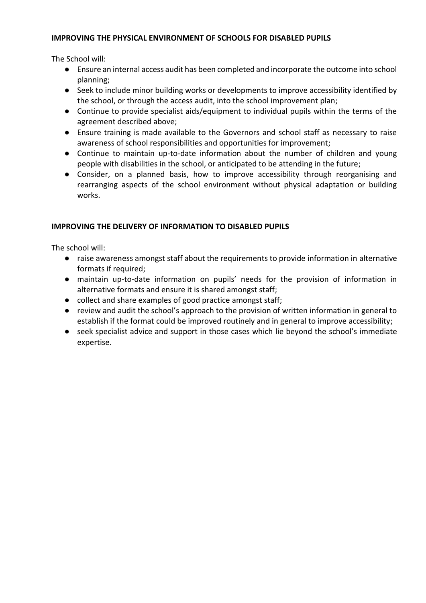#### **IMPROVING THE PHYSICAL ENVIRONMENT OF SCHOOLS FOR DISABLED PUPILS**

The School will:

- Ensure an internal access audit has been completed and incorporate the outcome into school planning;
- Seek to include minor building works or developments to improve accessibility identified by the school, or through the access audit, into the school improvement plan;
- Continue to provide specialist aids/equipment to individual pupils within the terms of the agreement described above;
- Ensure training is made available to the Governors and school staff as necessary to raise awareness of school responsibilities and opportunities for improvement;
- Continue to maintain up-to-date information about the number of children and young people with disabilities in the school, or anticipated to be attending in the future;
- Consider, on a planned basis, how to improve accessibility through reorganising and rearranging aspects of the school environment without physical adaptation or building works.

## **IMPROVING THE DELIVERY OF INFORMATION TO DISABLED PUPILS**

The school will:

- raise awareness amongst staff about the requirements to provide information in alternative formats if required;
- maintain up-to-date information on pupils' needs for the provision of information in alternative formats and ensure it is shared amongst staff;
- collect and share examples of good practice amongst staff;
- review and audit the school's approach to the provision of written information in general to establish if the format could be improved routinely and in general to improve accessibility;
- seek specialist advice and support in those cases which lie beyond the school's immediate expertise.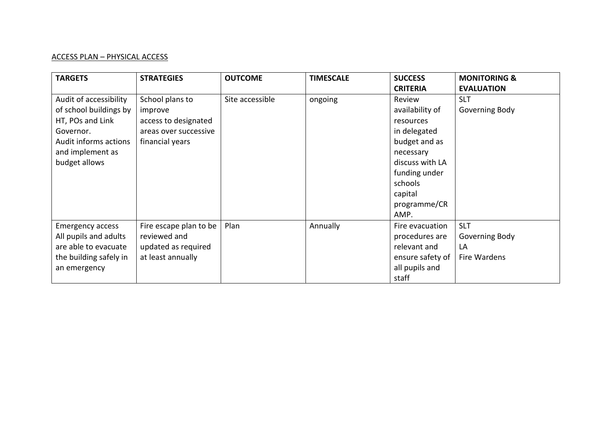# ACCESS PLAN – PHYSICAL ACCESS

| <b>TARGETS</b>          | <b>STRATEGIES</b>      | <b>OUTCOME</b>  | <b>TIMESCALE</b> | <b>SUCCESS</b><br><b>CRITERIA</b> | <b>MONITORING &amp;</b><br><b>EVALUATION</b> |
|-------------------------|------------------------|-----------------|------------------|-----------------------------------|----------------------------------------------|
| Audit of accessibility  | School plans to        | Site accessible | ongoing          | Review                            | <b>SLT</b>                                   |
| of school buildings by  | improve                |                 |                  | availability of                   | Governing Body                               |
| HT, POs and Link        | access to designated   |                 |                  | resources                         |                                              |
| Governor.               | areas over successive  |                 |                  | in delegated                      |                                              |
| Audit informs actions   | financial years        |                 |                  | budget and as                     |                                              |
| and implement as        |                        |                 |                  | necessary                         |                                              |
| budget allows           |                        |                 |                  | discuss with LA                   |                                              |
|                         |                        |                 |                  | funding under                     |                                              |
|                         |                        |                 |                  | schools                           |                                              |
|                         |                        |                 |                  | capital                           |                                              |
|                         |                        |                 |                  | programme/CR                      |                                              |
|                         |                        |                 |                  | AMP.                              |                                              |
| <b>Emergency access</b> | Fire escape plan to be | Plan            | Annually         | Fire evacuation                   | <b>SLT</b>                                   |
| All pupils and adults   | reviewed and           |                 |                  | procedures are                    | Governing Body                               |
| are able to evacuate    | updated as required    |                 |                  | relevant and                      | LA                                           |
| the building safely in  | at least annually      |                 |                  | ensure safety of                  | Fire Wardens                                 |
| an emergency            |                        |                 |                  | all pupils and                    |                                              |
|                         |                        |                 |                  | staff                             |                                              |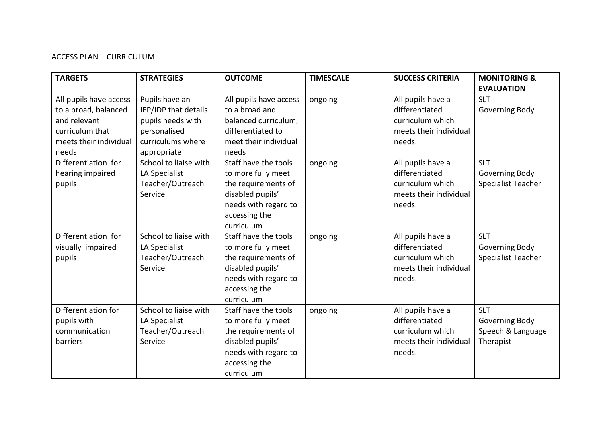# ACCESS PLAN – CURRICULUM

| <b>TARGETS</b>         | <b>STRATEGIES</b>     | <b>OUTCOME</b>         | <b>TIMESCALE</b> | <b>SUCCESS CRITERIA</b> | <b>MONITORING &amp;</b> |
|------------------------|-----------------------|------------------------|------------------|-------------------------|-------------------------|
|                        |                       |                        |                  |                         | <b>EVALUATION</b>       |
| All pupils have access | Pupils have an        | All pupils have access | ongoing          | All pupils have a       | <b>SLT</b>              |
| to a broad, balanced   | IEP/IDP that details  | to a broad and         |                  | differentiated          | Governing Body          |
| and relevant           | pupils needs with     | balanced curriculum,   |                  | curriculum which        |                         |
| curriculum that        | personalised          | differentiated to      |                  | meets their individual  |                         |
| meets their individual | curriculums where     | meet their individual  |                  | needs.                  |                         |
| needs                  | appropriate           | needs                  |                  |                         |                         |
| Differentiation for    | School to liaise with | Staff have the tools   | ongoing          | All pupils have a       | <b>SLT</b>              |
| hearing impaired       | LA Specialist         | to more fully meet     |                  | differentiated          | Governing Body          |
| pupils                 | Teacher/Outreach      | the requirements of    |                  | curriculum which        | Specialist Teacher      |
|                        | Service               | disabled pupils'       |                  | meets their individual  |                         |
|                        |                       | needs with regard to   |                  | needs.                  |                         |
|                        |                       | accessing the          |                  |                         |                         |
|                        |                       | curriculum             |                  |                         |                         |
| Differentiation for    | School to liaise with | Staff have the tools   | ongoing          | All pupils have a       | <b>SLT</b>              |
| visually impaired      | LA Specialist         | to more fully meet     |                  | differentiated          | Governing Body          |
| pupils                 | Teacher/Outreach      | the requirements of    |                  | curriculum which        | Specialist Teacher      |
|                        | Service               | disabled pupils'       |                  | meets their individual  |                         |
|                        |                       | needs with regard to   |                  | needs.                  |                         |
|                        |                       | accessing the          |                  |                         |                         |
|                        |                       | curriculum             |                  |                         |                         |
| Differentiation for    | School to liaise with | Staff have the tools   | ongoing          | All pupils have a       | <b>SLT</b>              |
| pupils with            | LA Specialist         | to more fully meet     |                  | differentiated          | Governing Body          |
| communication          | Teacher/Outreach      | the requirements of    |                  | curriculum which        | Speech & Language       |
| barriers               | Service               | disabled pupils'       |                  | meets their individual  | Therapist               |
|                        |                       | needs with regard to   |                  | needs.                  |                         |
|                        |                       | accessing the          |                  |                         |                         |
|                        |                       | curriculum             |                  |                         |                         |